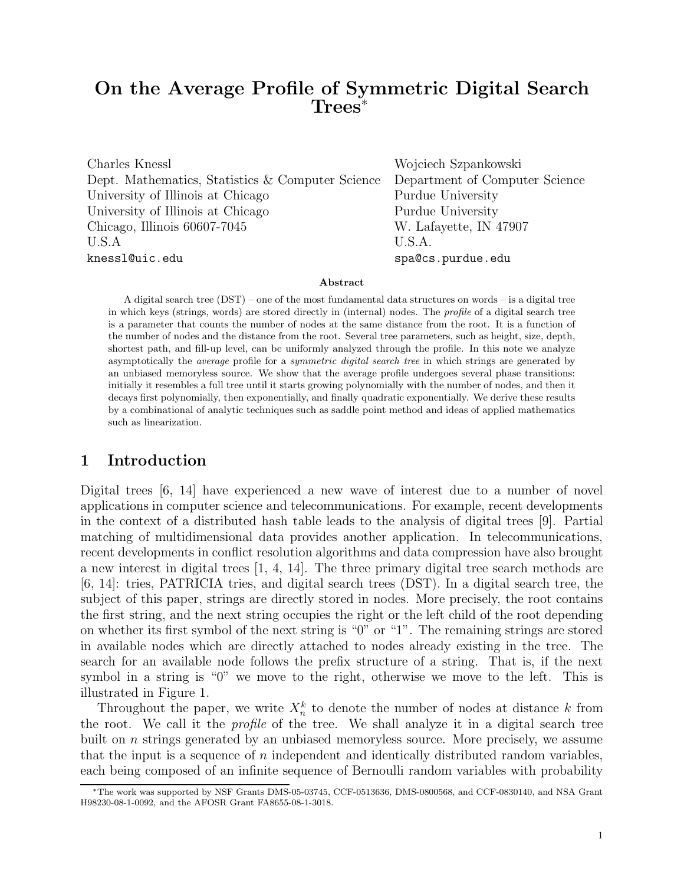# On the Average Profile of Symmetric Digital Search Trees<sup>∗</sup>

Charles Knessl Wojciech Szpankowski Dept. Mathematics, Statistics & Computer Science Department of Computer Science University of Illinois at Chicago Purdue University University of Illinois at Chicago Purdue University Chicago, Illinois 60607-7045 W. Lafayette, IN 47907 U.S.A U.S.A. knessl@uic.edu spa@cs.purdue.edu

#### Abstract

A digital search tree (DST) – one of the most fundamental data structures on words – is a digital tree in which keys (strings, words) are stored directly in (internal) nodes. The profile of a digital search tree is a parameter that counts the number of nodes at the same distance from the root. It is a function of the number of nodes and the distance from the root. Several tree parameters, such as height, size, depth, shortest path, and fill-up level, can be uniformly analyzed through the profile. In this note we analyze asymptotically the *average* profile for a *symmetric digital search tree* in which strings are generated by an unbiased memoryless source. We show that the average profile undergoes several phase transitions: initially it resembles a full tree until it starts growing polynomially with the number of nodes, and then it decays first polynomially, then exponentially, and finally quadratic exponentially. We derive these results by a combinational of analytic techniques such as saddle point method and ideas of applied mathematics such as linearization.

#### 1 Introduction

Digital trees [6, 14] have experienced a new wave of interest due to a number of novel applications in computer science and telecommunications. For example, recent developments in the context of a distributed hash table leads to the analysis of digital trees [9]. Partial matching of multidimensional data provides another application. In telecommunications, recent developments in conflict resolution algorithms and data compression have also brought a new interest in digital trees [1, 4, 14]. The three primary digital tree search methods are [6, 14]: tries, PATRICIA tries, and digital search trees (DST). In a digital search tree, the subject of this paper, strings are directly stored in nodes. More precisely, the root contains the first string, and the next string occupies the right or the left child of the root depending on whether its first symbol of the next string is "0" or "1". The remaining strings are stored in available nodes which are directly attached to nodes already existing in the tree. The search for an available node follows the prefix structure of a string. That is, if the next symbol in a string is "0" we move to the right, otherwise we move to the left. This is illustrated in Figure 1.

Throughout the paper, we write  $X_n^k$  to denote the number of nodes at distance k from the root. We call it the profile of the tree. We shall analyze it in a digital search tree built on n strings generated by an unbiased memoryless source. More precisely, we assume that the input is a sequence of  $n$  independent and identically distributed random variables, each being composed of an infinite sequence of Bernoulli random variables with probability

<sup>∗</sup>The work was supported by NSF Grants DMS-05-03745, CCF-0513636, DMS-0800568, and CCF-0830140, and NSA Grant H98230-08-1-0092, and the AFOSR Grant FA8655-08-1-3018.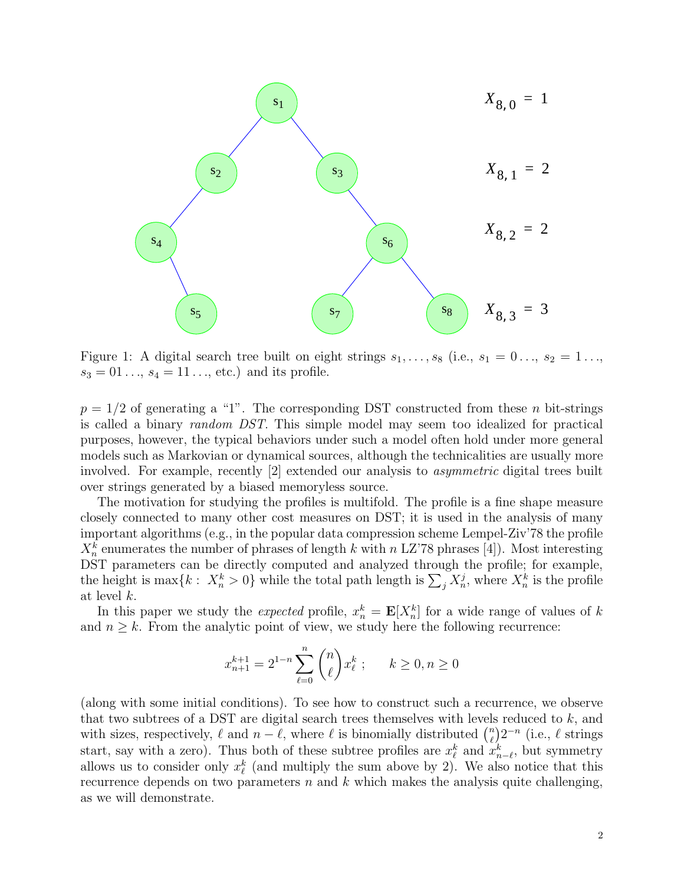

Figure 1: A digital search tree built on eight strings  $s_1, \ldots, s_8$  (i.e.,  $s_1 = 0 \ldots, s_2 = 1 \ldots$  $s_3 = 01..., s_4 = 11...,$  etc.) and its profile.

 $p = 1/2$  of generating a "1". The corresponding DST constructed from these n bit-strings is called a binary random DST. This simple model may seem too idealized for practical purposes, however, the typical behaviors under such a model often hold under more general models such as Markovian or dynamical sources, although the technicalities are usually more involved. For example, recently [2] extended our analysis to asymmetric digital trees built over strings generated by a biased memoryless source.

The motivation for studying the profiles is multifold. The profile is a fine shape measure closely connected to many other cost measures on DST; it is used in the analysis of many important algorithms (e.g., in the popular data compression scheme Lempel-Ziv'78 the profile  $X_n^k$  enumerates the number of phrases of length k with n LZ'78 phrases [4]). Most interesting DST parameters can be directly computed and analyzed through the profile; for example, the height is max $\{k: X_n^k > 0\}$  while the total path length is  $\sum_j X_n^j$ , where  $X_n^k$  is the profile at level k.

In this paper we study the *expected* profile,  $x_n^k = \mathbf{E}[X_n^k]$  for a wide range of values of k and  $n \geq k$ . From the analytic point of view, we study here the following recurrence:

$$
x_{n+1}^{k+1} = 2^{1-n} \sum_{\ell=0}^{n} \binom{n}{\ell} x_{\ell}^{k} \ ; \qquad k \geq 0, n \geq 0
$$

(along with some initial conditions). To see how to construct such a recurrence, we observe that two subtrees of a DST are digital search trees themselves with levels reduced to  $k$ , and with sizes, respectively,  $\ell$  and  $n - \ell$ , where  $\ell$  is binomially distributed  $\binom{n}{\ell}$  $\binom{n}{\ell} 2^{-n}$  (i.e.,  $\ell$  strings start, say with a zero). Thus both of these subtree profiles are  $x_{\ell}^{k}$  and  $x_{n-\ell}^{k}$ , but symmetry allows us to consider only  $x_{\ell}^{k}$  (and multiply the sum above by 2). We also notice that this recurrence depends on two parameters  $n$  and  $k$  which makes the analysis quite challenging, as we will demonstrate.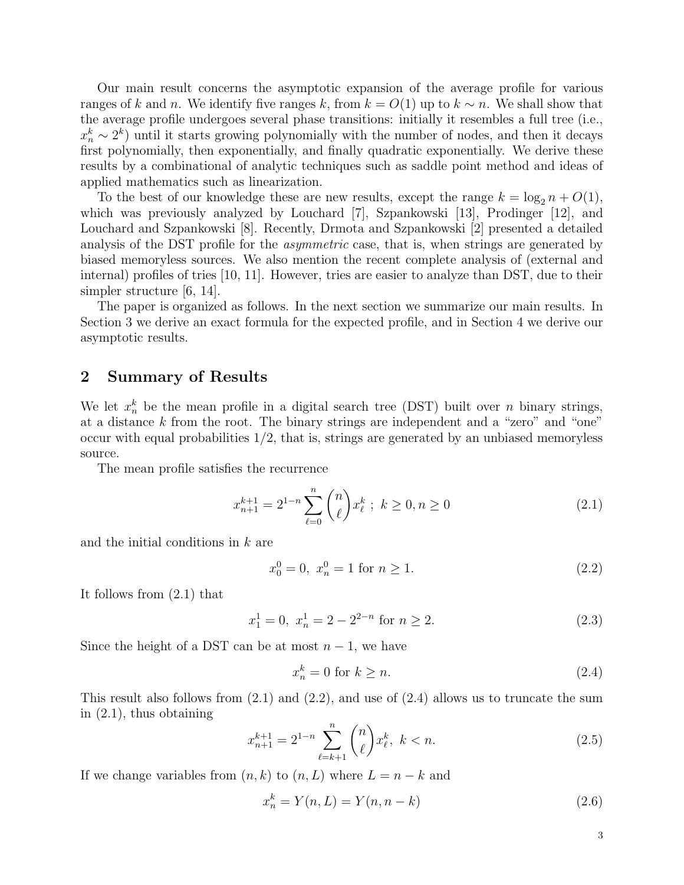Our main result concerns the asymptotic expansion of the average profile for various ranges of k and n. We identify five ranges k, from  $k = O(1)$  up to  $k \sim n$ . We shall show that the average profile undergoes several phase transitions: initially it resembles a full tree (i.e.,  $x_n^k \sim 2^k$ ) until it starts growing polynomially with the number of nodes, and then it decays first polynomially, then exponentially, and finally quadratic exponentially. We derive these results by a combinational of analytic techniques such as saddle point method and ideas of applied mathematics such as linearization.

To the best of our knowledge these are new results, except the range  $k = \log_2 n + O(1)$ , which was previously analyzed by Louchard [7], Szpankowski [13], Prodinger [12], and Louchard and Szpankowski [8]. Recently, Drmota and Szpankowski [2] presented a detailed analysis of the DST profile for the asymmetric case, that is, when strings are generated by biased memoryless sources. We also mention the recent complete analysis of (external and internal) profiles of tries [10, 11]. However, tries are easier to analyze than DST, due to their simpler structure [6, 14].

The paper is organized as follows. In the next section we summarize our main results. In Section 3 we derive an exact formula for the expected profile, and in Section 4 we derive our asymptotic results.

#### 2 Summary of Results

We let  $x_n^k$  be the mean profile in a digital search tree (DST) built over n binary strings, at a distance k from the root. The binary strings are independent and a "zero" and "one" occur with equal probabilities  $1/2$ , that is, strings are generated by an unbiased memoryless source.

The mean profile satisfies the recurrence

$$
x_{n+1}^{k+1} = 2^{1-n} \sum_{\ell=0}^{n} \binom{n}{\ell} x_{\ell}^{k} \; ; \; k \ge 0, n \ge 0 \tag{2.1}
$$

and the initial conditions in k are

$$
x_0^0 = 0, \ x_n^0 = 1 \text{ for } n \ge 1. \tag{2.2}
$$

It follows from (2.1) that

$$
x_1^1 = 0, \ x_n^1 = 2 - 2^{2-n} \text{ for } n \ge 2. \tag{2.3}
$$

Since the height of a DST can be at most  $n-1$ , we have

$$
x_n^k = 0 \text{ for } k \ge n. \tag{2.4}
$$

This result also follows from  $(2.1)$  and  $(2.2)$ , and use of  $(2.4)$  allows us to truncate the sum in (2.1), thus obtaining

$$
x_{n+1}^{k+1} = 2^{1-n} \sum_{\ell=k+1}^{n} \binom{n}{\ell} x_{\ell}^k, \ k < n. \tag{2.5}
$$

If we change variables from  $(n, k)$  to  $(n, L)$  where  $L = n - k$  and

$$
x_n^k = Y(n, L) = Y(n, n - k)
$$
\n(2.6)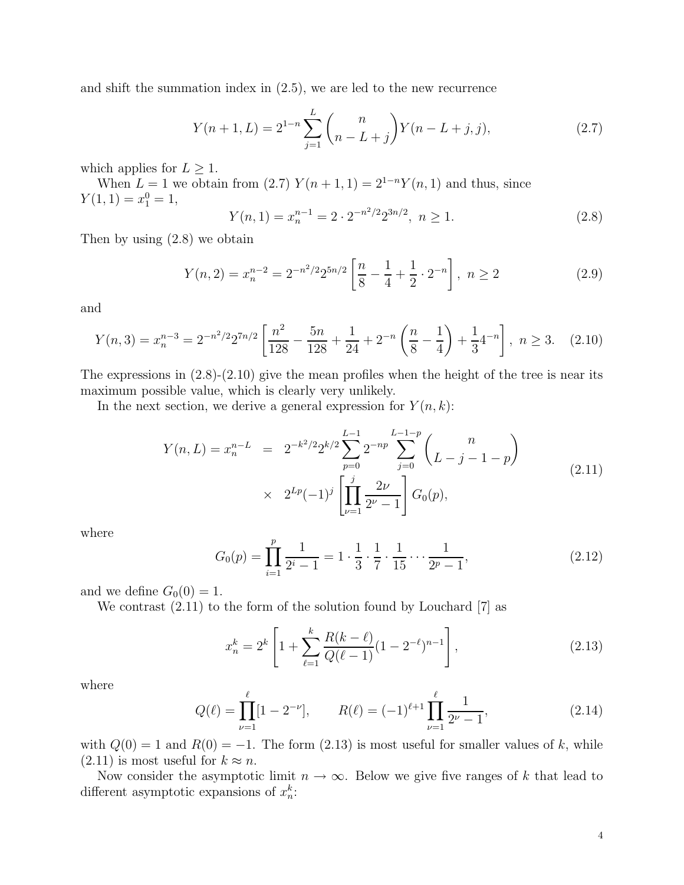and shift the summation index in (2.5), we are led to the new recurrence

$$
Y(n+1,L) = 2^{1-n} \sum_{j=1}^{L} {n \choose n-L+j} Y(n-L+j,j),
$$
\n(2.7)

which applies for  $L \geq 1$ .

When  $L = 1$  we obtain from (2.7)  $Y(n + 1, 1) = 2^{1-n}Y(n, 1)$  and thus, since  $Y(1, 1) = x_1^0 = 1,$ 

$$
Y(n,1) = x_n^{n-1} = 2 \cdot 2^{-n^2/2} 2^{3n/2}, \ n \ge 1.
$$
 (2.8)

Then by using (2.8) we obtain

$$
Y(n,2) = x_n^{n-2} = 2^{-n^2/2} 2^{5n/2} \left[ \frac{n}{8} - \frac{1}{4} + \frac{1}{2} \cdot 2^{-n} \right], \ n \ge 2
$$
 (2.9)

and

$$
Y(n,3) = x_n^{n-3} = 2^{-n^2/2} 2^{7n/2} \left[ \frac{n^2}{128} - \frac{5n}{128} + \frac{1}{24} + 2^{-n} \left( \frac{n}{8} - \frac{1}{4} \right) + \frac{1}{3} 4^{-n} \right], \ n \ge 3. \tag{2.10}
$$

The expressions in  $(2.8)-(2.10)$  give the mean profiles when the height of the tree is near its maximum possible value, which is clearly very unlikely.

In the next section, we derive a general expression for  $Y(n, k)$ :

$$
Y(n, L) = x_n^{n-L} = 2^{-k^2/2} 2^{k/2} \sum_{p=0}^{L-1} 2^{-np} \sum_{j=0}^{L-1-p} {n \choose L - j - 1 - p}
$$
  
 
$$
\times 2^{Lp} (-1)^j \left[ \prod_{\nu=1}^j \frac{2\nu}{2^{\nu} - 1} \right] G_0(p), \tag{2.11}
$$

where

$$
G_0(p) = \prod_{i=1}^p \frac{1}{2^i - 1} = 1 \cdot \frac{1}{3} \cdot \frac{1}{7} \cdot \frac{1}{15} \cdots \frac{1}{2^p - 1},
$$
\n(2.12)

and we define  $G_0(0) = 1$ .

We contrast (2.11) to the form of the solution found by Louchard [7] as

$$
x_n^k = 2^k \left[ 1 + \sum_{\ell=1}^k \frac{R(k-\ell)}{Q(\ell-1)} (1 - 2^{-\ell})^{n-1} \right],
$$
\n(2.13)

where

$$
Q(\ell) = \prod_{\nu=1}^{\ell} [1 - 2^{-\nu}], \qquad R(\ell) = (-1)^{\ell+1} \prod_{\nu=1}^{\ell} \frac{1}{2^{\nu} - 1}, \tag{2.14}
$$

with  $Q(0) = 1$  and  $R(0) = -1$ . The form (2.13) is most useful for smaller values of k, while  $(2.11)$  is most useful for  $k \approx n$ .

Now consider the asymptotic limit  $n \to \infty$ . Below we give five ranges of k that lead to different asymptotic expansions of  $x_n^k$ :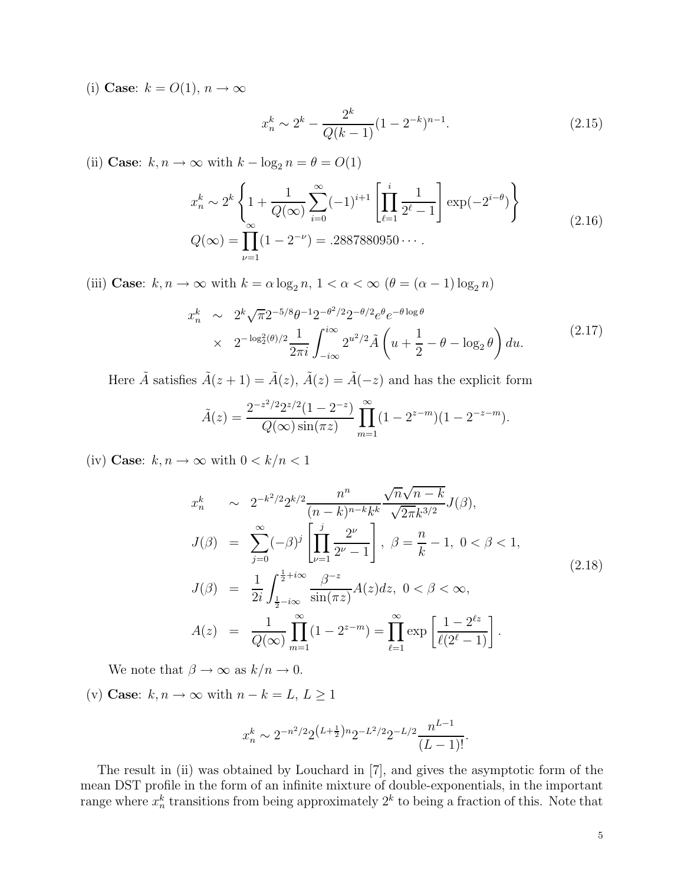(i) Case:  $k = O(1), n \rightarrow \infty$ 

$$
x_n^k \sim 2^k - \frac{2^k}{Q(k-1)} (1 - 2^{-k})^{n-1}.
$$
\n(2.15)

(ii) Case:  $k, n \to \infty$  with  $k - \log_2 n = \theta = O(1)$ 

$$
x_n^k \sim 2^k \left\{ 1 + \frac{1}{Q(\infty)} \sum_{i=0}^{\infty} (-1)^{i+1} \left[ \prod_{\ell=1}^i \frac{1}{2^{\ell} - 1} \right] \exp(-2^{i-\theta}) \right\}
$$
  

$$
Q(\infty) = \prod_{\nu=1}^{\infty} (1 - 2^{-\nu}) = .2887880950 \cdots
$$
 (2.16)

(iii) **Case**:  $k, n \to \infty$  with  $k = \alpha \log_2 n, 1 < \alpha < \infty$  ( $\theta = (\alpha - 1) \log_2 n$ )

$$
x_n^k \sim 2^k \sqrt{\pi} 2^{-5/8} \theta^{-1} 2^{-\theta^2/2} 2^{-\theta/2} e^{\theta} e^{-\theta \log \theta}
$$
  
 
$$
\times 2^{-\log_2^2(\theta)/2} \frac{1}{2\pi i} \int_{-i\infty}^{i\infty} 2^{u^2/2} \tilde{A} \left( u + \frac{1}{2} - \theta - \log_2 \theta \right) du.
$$
 (2.17)

Here  $\tilde{A}$  satisfies  $\tilde{A}(z + 1) = \tilde{A}(z)$ ,  $\tilde{A}(z) = \tilde{A}(-z)$  and has the explicit form

$$
\tilde{A}(z) = \frac{2^{-z^2/2} 2^{z/2} (1 - 2^{-z})}{Q(\infty) \sin(\pi z)} \prod_{m=1}^{\infty} (1 - 2^{z-m}) (1 - 2^{-z-m}).
$$

(iv) Case:  $k, n \to \infty$  with  $0 < k/n < 1$ 

$$
x_n^k \sim 2^{-k^2/2} 2^{k/2} \frac{n^n}{(n-k)^{n-k} k^k} \frac{\sqrt{n} \sqrt{n-k}}{\sqrt{2\pi} k^{3/2}} J(\beta),
$$
  
\n
$$
J(\beta) = \sum_{j=0}^{\infty} (-\beta)^j \left[ \prod_{\nu=1}^j \frac{2^{\nu}}{2^{\nu} - 1} \right], \ \beta = \frac{n}{k} - 1, \ 0 < \beta < 1,
$$
  
\n
$$
J(\beta) = \frac{1}{2i} \int_{\frac{1}{2} - i\infty}^{\frac{1}{2} + i\infty} \frac{\beta^{-z}}{\sin(\pi z)} A(z) dz, \ 0 < \beta < \infty,
$$
  
\n
$$
A(z) = \frac{1}{Q(\infty)} \prod_{m=1}^{\infty} (1 - 2^{z-m}) = \prod_{\ell=1}^{\infty} \exp\left[ \frac{1 - 2^{\ell z}}{\ell(2^{\ell} - 1)} \right].
$$
\n(2.18)

We note that  $\beta \to \infty$  as  $k/n \to 0$ .

(v) Case:  $k, n \to \infty$  with  $n - k = L, L \ge 1$ 

$$
x_n^k \sim 2^{-n^2/2} 2^{\left(L + \frac{1}{2}\right)n} 2^{-L^2/2} 2^{-L/2} \frac{n^{L-1}}{(L-1)!}.
$$

The result in (ii) was obtained by Louchard in [7], and gives the asymptotic form of the mean DST profile in the form of an infinite mixture of double-exponentials, in the important range where  $x_n^k$  transitions from being approximately  $2^k$  to being a fraction of this. Note that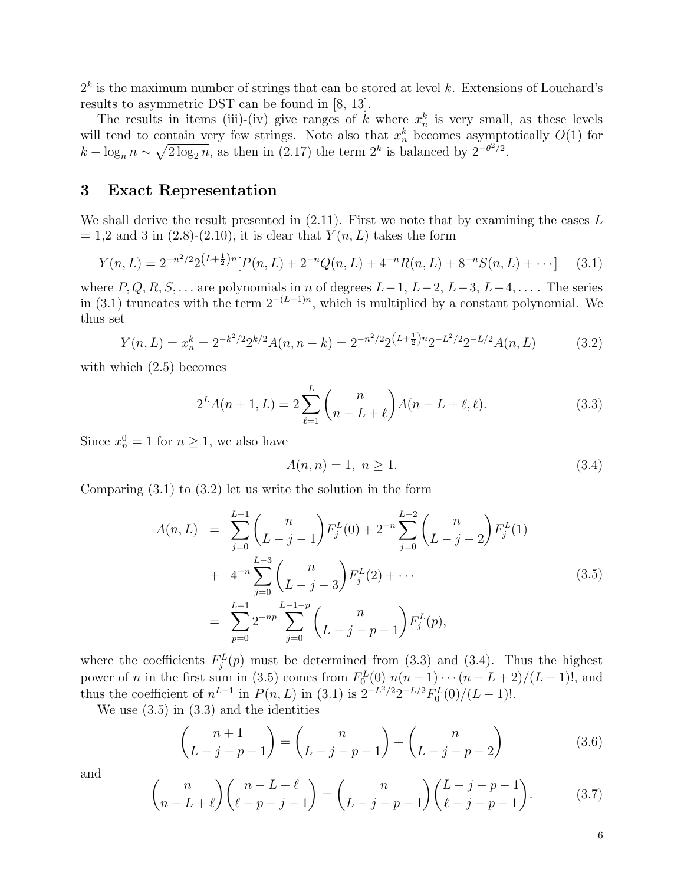$2<sup>k</sup>$  is the maximum number of strings that can be stored at level k. Extensions of Louchard's results to asymmetric DST can be found in [8, 13].

The results in items (iii)-(iv) give ranges of k where  $x_n^k$  is very small, as these levels will tend to contain very few strings. Note also that  $x_n^k$  becomes asymptotically  $O(1)$  for  $k - \log_n n \sim \sqrt{2 \log_2 n}$ , as then in (2.17) the term  $2^k$  is balanced by  $2^{-\theta^2/2}$ .

#### 3 Exact Representation

We shall derive the result presented in  $(2.11)$ . First we note that by examining the cases L  $= 1.2$  and 3 in  $(2.8)-(2.10)$ , it is clear that  $Y(n, L)$  takes the form

$$
Y(n,L) = 2^{-n^2/2} 2^{\left(L + \frac{1}{2}\right)n} [P(n,L) + 2^{-n} Q(n,L) + 4^{-n} R(n,L) + 8^{-n} S(n,L) + \cdots] \tag{3.1}
$$

where  $P, Q, R, S, \ldots$  are polynomials in n of degrees  $L-1, L-2, L-3, L-4, \ldots$ . The series in (3.1) truncates with the term  $2^{-(L-1)n}$ , which is multiplied by a constant polynomial. We thus set

$$
Y(n,L) = x_n^k = 2^{-k^2/2} 2^{k/2} A(n,n-k) = 2^{-n^2/2} 2^{(L+\frac{1}{2})n} 2^{-L^2/2} 2^{-L/2} A(n,L)
$$
 (3.2)

with which  $(2.5)$  becomes

$$
2^{L}A(n+1,L) = 2\sum_{\ell=1}^{L} {n \choose n-L+\ell} A(n-L+\ell,\ell). \tag{3.3}
$$

Since  $x_n^0 = 1$  for  $n \ge 1$ , we also have

$$
A(n,n) = 1, \ n \ge 1. \tag{3.4}
$$

Comparing  $(3.1)$  to  $(3.2)$  let us write the solution in the form

$$
A(n, L) = \sum_{j=0}^{L-1} {n \choose L-j-1} F_j^L(0) + 2^{-n} \sum_{j=0}^{L-2} {n \choose L-j-2} F_j^L(1)
$$
  
+ 
$$
4^{-n} \sum_{j=0}^{L-3} {n \choose L-j-3} F_j^L(2) + \cdots
$$
  
= 
$$
\sum_{p=0}^{L-1} 2^{-np} \sum_{j=0}^{L-1-p} {n \choose L-j-p-1} F_j^L(p),
$$
 (3.5)

where the coefficients  $F_j^L(p)$  must be determined from (3.3) and (3.4). Thus the highest power of *n* in the first sum in (3.5) comes from  $F_0^L(0)$   $n(n-1)\cdots(n-L+2)/(L-1)!$ , and thus the coefficient of  $n^{L-1}$  in  $P(n, L)$  in (3.1) is  $2^{-L^2/2}2^{-L/2}F_0^L(0)/(L-1)!$ .

We use  $(3.5)$  in  $(3.3)$  and the identities

$$
\binom{n+1}{L-j-p-1} = \binom{n}{L-j-p-1} + \binom{n}{L-j-p-2} \tag{3.6}
$$

and

$$
\binom{n}{n-L+\ell}\binom{n-L+\ell}{\ell-p-j-1} = \binom{n}{L-j-p-1}\binom{L-j-p-1}{\ell-j-p-1}.\tag{3.7}
$$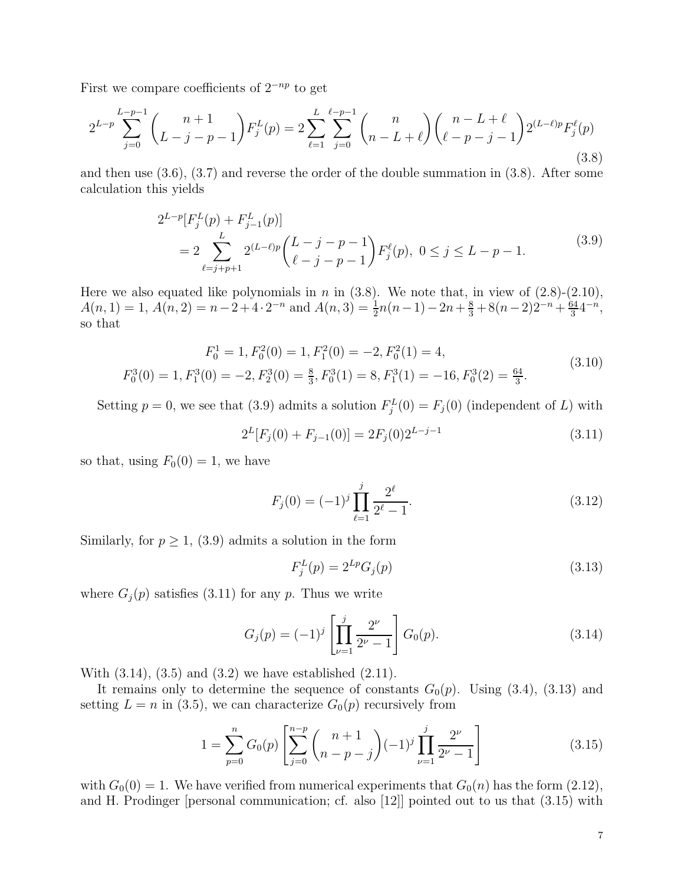First we compare coefficients of  $2^{-np}$  to get

$$
2^{L-p} \sum_{j=0}^{L-p-1} {n+1 \choose L-j-p-1} F_j^L(p) = 2 \sum_{\ell=1}^L \sum_{j=0}^{\ell-p-1} {n \choose n-L+\ell} {n-L+\ell \choose \ell-p-j-1} 2^{(L-\ell)p} F_j^{\ell}(p) \tag{3.8}
$$

and then use (3.6), (3.7) and reverse the order of the double summation in (3.8). After some calculation this yields

$$
2^{L-p}[F_j^L(p) + F_{j-1}^L(p)]
$$
  
= 
$$
2 \sum_{\ell=j+p+1}^{L} 2^{(L-\ell)p} {L-j-p-1 \choose \ell-j-p-1} F_j^{\ell}(p), \ 0 \le j \le L-p-1.
$$
 (3.9)

Here we also equated like polynomials in n in  $(3.8)$ . We note that, in view of  $(2.8)-(2.10)$ ,  $A(n, 1) = 1, A(n, 2) = n - 2 + 4 \cdot 2^{-n}$  and  $A(n, 3) = \frac{1}{2}n(n-1) - 2n + \frac{8}{3} + 8(n-2)2^{-n} + \frac{64}{3}$  $\frac{34}{3}4^{-n},$ so that

$$
F_0^1 = 1, F_0^2(0) = 1, F_1^2(0) = -2, F_0^2(1) = 4,
$$
  
\n
$$
F_0^3(0) = 1, F_1^3(0) = -2, F_2^3(0) = \frac{8}{3}, F_0^3(1) = 8, F_1^3(1) = -16, F_0^3(2) = \frac{64}{3}.
$$
\n(3.10)

Setting  $p = 0$ , we see that (3.9) admits a solution  $F_j^L(0) = F_j(0)$  (independent of L) with

$$
2^{L}[F_j(0) + F_{j-1}(0)] = 2F_j(0)2^{L-j-1}
$$
\n(3.11)

so that, using  $F_0(0) = 1$ , we have

$$
F_j(0) = (-1)^j \prod_{\ell=1}^j \frac{2^{\ell}}{2^{\ell} - 1}.
$$
\n(3.12)

Similarly, for  $p \geq 1$ , (3.9) admits a solution in the form

$$
F_j^L(p) = 2^{Lp} G_j(p) \tag{3.13}
$$

where  $G_j(p)$  satisfies (3.11) for any p. Thus we write

$$
G_j(p) = (-1)^j \left[ \prod_{\nu=1}^j \frac{2^{\nu}}{2^{\nu} - 1} \right] G_0(p). \tag{3.14}
$$

With  $(3.14)$ ,  $(3.5)$  and  $(3.2)$  we have established  $(2.11)$ .

It remains only to determine the sequence of constants  $G_0(p)$ . Using (3.4), (3.13) and setting  $L = n$  in (3.5), we can characterize  $G_0(p)$  recursively from

$$
1 = \sum_{p=0}^{n} G_0(p) \left[ \sum_{j=0}^{n-p} \binom{n+1}{n-p-j} (-1)^j \prod_{\nu=1}^j \frac{2^{\nu}}{2^{\nu}-1} \right]
$$
(3.15)

with  $G_0(0) = 1$ . We have verified from numerical experiments that  $G_0(n)$  has the form  $(2.12)$ , and H. Prodinger [personal communication; cf. also [12]] pointed out to us that (3.15) with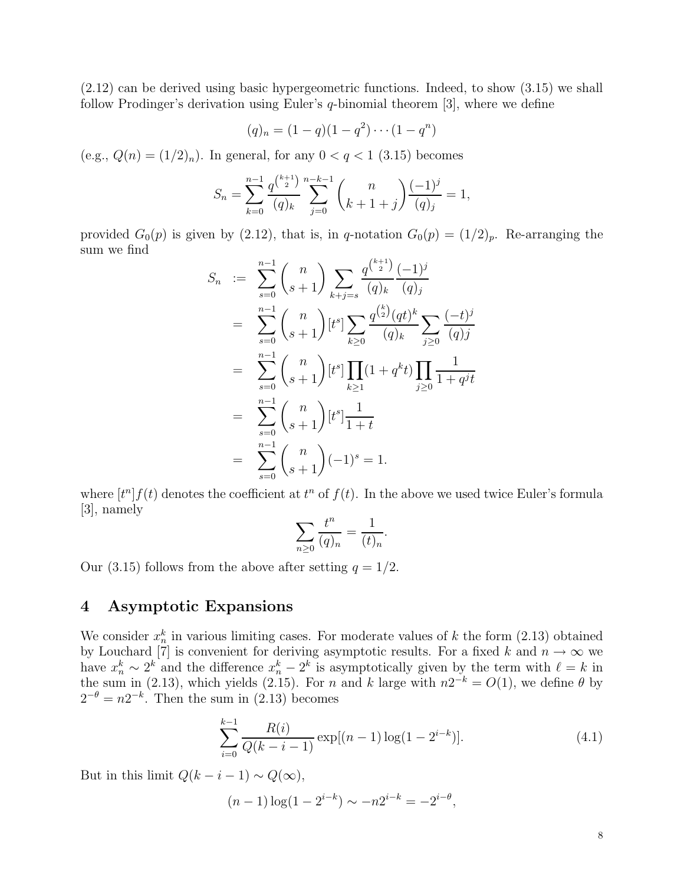(2.12) can be derived using basic hypergeometric functions. Indeed, to show (3.15) we shall follow Prodinger's derivation using Euler's q-binomial theorem [3], where we define

$$
(q)_n = (1-q)(1-q^2)\cdots(1-q^n)
$$

(e.g.,  $Q(n) = (1/2)_n$ ). In general, for any  $0 < q < 1$  (3.15) becomes

$$
S_n = \sum_{k=0}^{n-1} \frac{q^{\binom{k+1}{2}}}{(q)_k} \sum_{j=0}^{n-k-1} \binom{n}{k+1+j} \frac{(-1)^j}{(q)_j} = 1,
$$

provided  $G_0(p)$  is given by (2.12), that is, in q-notation  $G_0(p) = (1/2)_p$ . Re-arranging the sum we find

$$
S_n := \sum_{s=0}^{n-1} {n \choose s+1} \sum_{k+j=s} \frac{q^{\binom{k+1}{2}} (-1)^j}{(q)_k (q)_j}
$$
  
\n
$$
= \sum_{s=0}^{n-1} {n \choose s+1} [t^s] \sum_{k\geq 0} \frac{q^{\binom{k}{2}} (qt)^k}{(q)_k} \sum_{j\geq 0} \frac{(-t)^j}{(q)_j}
$$
  
\n
$$
= \sum_{s=0}^{n-1} {n \choose s+1} [t^s] \prod_{k\geq 1} (1+q^k t) \prod_{j\geq 0} \frac{1}{1+q^j t}
$$
  
\n
$$
= \sum_{s=0}^{n-1} {n \choose s+1} [t^s] \frac{1}{1+t}
$$
  
\n
$$
= \sum_{s=0}^{n-1} {n \choose s+1} (-1)^s = 1.
$$

where  $[t^n] f(t)$  denotes the coefficient at  $t^n$  of  $f(t)$ . In the above we used twice Euler's formula [3], namely

$$
\sum_{n\geq 0} \frac{t^n}{(q)_n} = \frac{1}{(t)_n}.
$$

Our (3.15) follows from the above after setting  $q = 1/2$ .

## 4 Asymptotic Expansions

We consider  $x_n^k$  in various limiting cases. For moderate values of k the form  $(2.13)$  obtained by Louchard [7] is convenient for deriving asymptotic results. For a fixed k and  $n \to \infty$  we have  $x_n^k \sim 2^k$  and the difference  $x_n^k - 2^k$  is asymptotically given by the term with  $\ell = k$  in the sum in (2.13), which yields (2.15). For n and k large with  $n2^{-k} = O(1)$ , we define  $\theta$  by  $2^{-\theta} = n2^{-k}$ . Then the sum in (2.13) becomes

$$
\sum_{i=0}^{k-1} \frac{R(i)}{Q(k-i-1)} \exp[(n-1)\log(1-2^{i-k})].
$$
 (4.1)

But in this limit  $Q(k - i - 1) \sim Q(\infty)$ ,

 $(n-1)\log(1-2^{i-k}) \sim -n2^{i-k} = -2^{i-\theta},$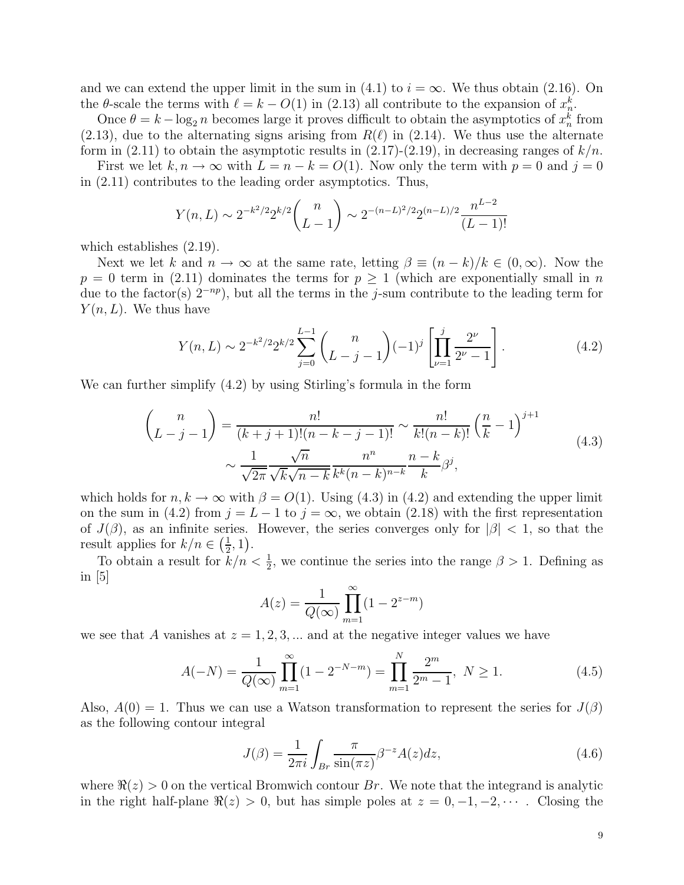and we can extend the upper limit in the sum in (4.1) to  $i = \infty$ . We thus obtain (2.16). On the  $\theta$ -scale the terms with  $\ell = k - O(1)$  in (2.13) all contribute to the expansion of  $x_n^k$ .

Once  $\theta = k - \log_2 n$  becomes large it proves difficult to obtain the asymptotics of  $x_n^k$  from  $(2.13)$ , due to the alternating signs arising from  $R(\ell)$  in  $(2.14)$ . We thus use the alternate form in  $(2.11)$  to obtain the asymptotic results in  $(2.17)-(2.19)$ , in decreasing ranges of  $k/n$ .

First we let  $k, n \to \infty$  with  $L = n - k = O(1)$ . Now only the term with  $p = 0$  and  $j = 0$ in (2.11) contributes to the leading order asymptotics. Thus,

$$
Y(n,L) \sim 2^{-k^2/2} 2^{k/2} {n \choose L-1} \sim 2^{-(n-L)^2/2} 2^{(n-L)/2} \frac{n^{L-2}}{(L-1)!}
$$

which establishes  $(2.19)$ .

Next we let k and  $n \to \infty$  at the same rate, letting  $\beta \equiv (n-k)/k \in (0,\infty)$ . Now the  $p = 0$  term in (2.11) dominates the terms for  $p \ge 1$  (which are exponentially small in n due to the factor(s)  $2^{-np}$ ), but all the terms in the j-sum contribute to the leading term for  $Y(n, L)$ . We thus have

$$
Y(n,L) \sim 2^{-k^2/2} 2^{k/2} \sum_{j=0}^{L-1} {n \choose L-j-1} (-1)^j \left[ \prod_{\nu=1}^j \frac{2^{\nu}}{2^{\nu}-1} \right].
$$
 (4.2)

We can further simplify (4.2) by using Stirling's formula in the form

$$
\binom{n}{L-j-1} = \frac{n!}{(k+j+1)!(n-k-j-1)!} \sim \frac{n!}{k!(n-k)!} \left(\frac{n}{k} - 1\right)^{j+1} \sim \frac{1}{\sqrt{2\pi}} \frac{n^{\overline{n}}}{\sqrt{k}\sqrt{n-k}} \frac{n^n}{k^k(n-k)^{n-k}} \frac{n-k}{k} \beta^j,
$$
\n(4.3)

which holds for  $n, k \to \infty$  with  $\beta = O(1)$ . Using (4.3) in (4.2) and extending the upper limit on the sum in (4.2) from  $j = L - 1$  to  $j = \infty$ , we obtain (2.18) with the first representation of  $J(\beta)$ , as an infinite series. However, the series converges only for  $|\beta| < 1$ , so that the result applies for  $k/n \in \left(\frac{1}{2}\right)$  $(\frac{1}{2}, 1).$ 

To obtain a result for  $k/n < \frac{1}{2}$ , we continue the series into the range  $\beta > 1$ . Defining as in [5]

$$
A(z) = \frac{1}{Q(\infty)} \prod_{m=1}^{\infty} (1 - 2^{z-m})
$$

we see that A vanishes at  $z = 1, 2, 3, \dots$  and at the negative integer values we have

$$
A(-N) = \frac{1}{Q(\infty)} \prod_{m=1}^{\infty} (1 - 2^{-N-m}) = \prod_{m=1}^{N} \frac{2^m}{2^m - 1}, \ N \ge 1.
$$
 (4.5)

Also,  $A(0) = 1$ . Thus we can use a Watson transformation to represent the series for  $J(\beta)$ as the following contour integral

$$
J(\beta) = \frac{1}{2\pi i} \int_{Br} \frac{\pi}{\sin(\pi z)} \beta^{-z} A(z) dz,
$$
\n(4.6)

where  $\Re(z) > 0$  on the vertical Bromwich contour Br. We note that the integrand is analytic in the right half-plane  $\Re(z) > 0$ , but has simple poles at  $z = 0, -1, -2, \cdots$ . Closing the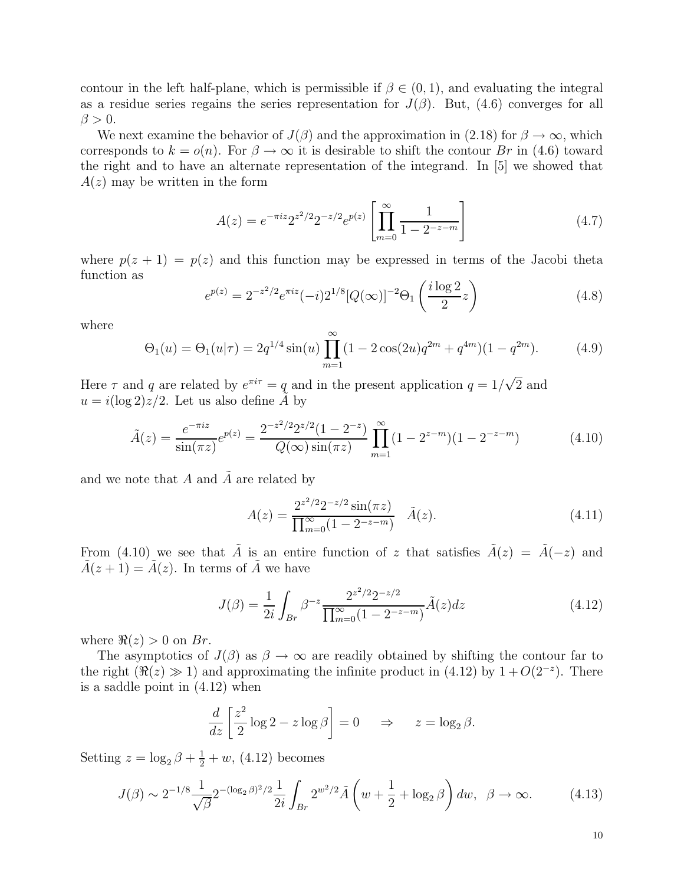contour in the left half-plane, which is permissible if  $\beta \in (0,1)$ , and evaluating the integral as a residue series regains the series representation for  $J(\beta)$ . But, (4.6) converges for all  $\beta > 0$ .

We next examine the behavior of  $J(\beta)$  and the approximation in (2.18) for  $\beta \to \infty$ , which corresponds to  $k = o(n)$ . For  $\beta \to \infty$  it is desirable to shift the contour Br in (4.6) toward the right and to have an alternate representation of the integrand. In [5] we showed that  $A(z)$  may be written in the form

$$
A(z) = e^{-\pi i z} 2^{z^2/2} 2^{-z/2} e^{p(z)} \left[ \prod_{m=0}^{\infty} \frac{1}{1 - 2^{-z-m}} \right]
$$
 (4.7)

where  $p(z + 1) = p(z)$  and this function may be expressed in terms of the Jacobi theta function as

$$
e^{p(z)} = 2^{-z^2/2} e^{\pi i z} (-i) 2^{1/8} [Q(\infty)]^{-2} \Theta_1 \left( \frac{i \log 2}{2} z \right)
$$
 (4.8)

where

$$
\Theta_1(u) = \Theta_1(u|\tau) = 2q^{1/4}\sin(u)\prod_{m=1}^{\infty} (1 - 2\cos(2u)q^{2m} + q^{4m})(1 - q^{2m}).
$$
 (4.9)

Here  $\tau$  and q are related by  $e^{\pi i \tau} = q$  and in the present application  $q = 1/\sqrt{2}$  and  $u = i(\log 2)z/2$ . Let us also define A by

$$
\tilde{A}(z) = \frac{e^{-\pi i z}}{\sin(\pi z)} e^{p(z)} = \frac{2^{-z^2/2} 2^{z/2} (1 - 2^{-z})}{Q(\infty) \sin(\pi z)} \prod_{m=1}^{\infty} (1 - 2^{z - m}) (1 - 2^{-z - m})
$$
(4.10)

and we note that  $A$  and  $\overline{A}$  are related by

$$
A(z) = \frac{2^{z^2/2} 2^{-z/2} \sin(\pi z)}{\prod_{m=0}^{\infty} (1 - 2^{-z - m})} \quad \tilde{A}(z). \tag{4.11}
$$

From (4.10) we see that  $\tilde{A}$  is an entire function of z that satisfies  $\tilde{A}(z) = \tilde{A}(-z)$  and  $\tilde{A}(z + 1) = \tilde{A}(z)$ . In terms of  $\tilde{A}$  we have

$$
J(\beta) = \frac{1}{2i} \int_{Br} \beta^{-z} \frac{2^{z^2/2} 2^{-z/2}}{\prod_{m=0}^{\infty} (1 - 2^{-z - m})} \tilde{A}(z) dz
$$
 (4.12)

where  $\Re(z) > 0$  on Br.

The asymptotics of  $J(\beta)$  as  $\beta \to \infty$  are readily obtained by shifting the contour far to the right  $(\Re(z) \gg 1)$  and approximating the infinite product in (4.12) by  $1 + O(2^{-z})$ . There is a saddle point in (4.12) when

$$
\frac{d}{dz} \left[ \frac{z^2}{2} \log 2 - z \log \beta \right] = 0 \quad \Rightarrow \quad z = \log_2 \beta.
$$

Setting  $z = \log_2 \beta + \frac{1}{2} + w$ , (4.12) becomes

$$
J(\beta) \sim 2^{-1/8} \frac{1}{\sqrt{\beta}} 2^{-(\log_2 \beta)^2/2} \frac{1}{2i} \int_{Br} 2^{w^2/2} \tilde{A} \left( w + \frac{1}{2} + \log_2 \beta \right) dw, \ \ \beta \to \infty. \tag{4.13}
$$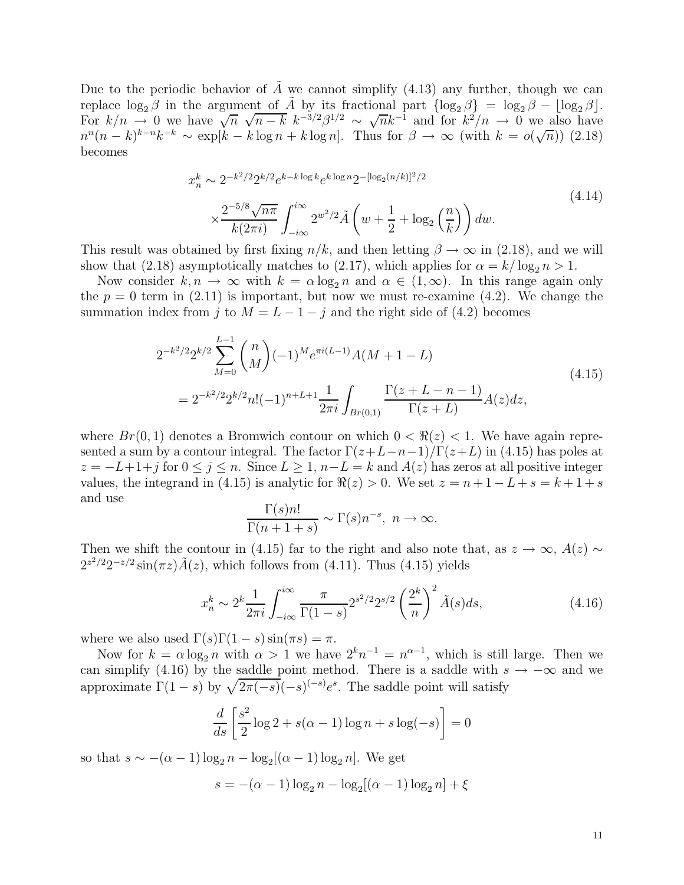Due to the periodic behavior of  $\tilde{A}$  we cannot simplify (4.13) any further, though we can replace  $\log_2 \beta$  in the argument of  $\tilde{A}$  by its fractional part  $\{\log_2 \beta\} = \log_2 \beta - \log_2 \beta$ . For  $k/n \to 0$  we have  $\sqrt{n} \sqrt{n-k} k^{-3/2} \beta^{1/2} \sim \sqrt{n} k^{-1}$  and for  $k^2/n \to 0$  we also have  $n^{n}(n-k)^{k-n}k^{-k} \sim \exp[k-k\log n+k\log n]$ . Thus for  $\beta \to \infty$  (with  $k = o(\sqrt{n})$ ) (2.18) becomes

$$
x_n^k \sim 2^{-k^2/2} 2^{k/2} e^{k-k \log k} e^{k \log n} 2^{-[\log_2(n/k)]^2/2}
$$
  
\$\times \frac{2^{-5/8} \sqrt{n\pi}}{k(2\pi i)} \int\_{-i\infty}^{i\infty} 2^{w^2/2} \tilde{A}\left(w + \frac{1}{2} + \log\_2\left(\frac{n}{k}\right)\right) dw. \tag{4.14}

This result was obtained by first fixing  $n/k$ , and then letting  $\beta \to \infty$  in (2.18), and we will show that (2.18) asymptotically matches to (2.17), which applies for  $\alpha = k/\log_2 n > 1$ .

Now consider  $k, n \to \infty$  with  $k = \alpha \log_2 n$  and  $\alpha \in (1, \infty)$ . In this range again only the  $p = 0$  term in (2.11) is important, but now we must re-examine (4.2). We change the summation index from j to  $M = L - 1 - j$  and the right side of (4.2) becomes

$$
2^{-k^{2}/2} 2^{k/2} \sum_{M=0}^{L-1} {n \choose M} (-1)^{M} e^{\pi i (L-1)} A(M+1-L)
$$
  
= 
$$
2^{-k^{2}/2} 2^{k/2} n! (-1)^{n+L+1} \frac{1}{2\pi i} \int_{Br(0,1)} \frac{\Gamma(z+L-n-1)}{\Gamma(z+L)} A(z) dz,
$$
 (4.15)

where  $Br(0, 1)$  denotes a Bromwich contour on which  $0 < \Re(z) < 1$ . We have again represented a sum by a contour integral. The factor  $\Gamma(z+L-n-1)/\Gamma(z+L)$  in (4.15) has poles at  $z = -L+1+j$  for  $0 \le j \le n$ . Since  $L > 1$ ,  $n-L = k$  and  $A(z)$  has zeros at all positive integer values, the integrand in (4.15) is analytic for  $\Re(z) > 0$ . We set  $z = n + 1 - L + s = k + 1 + s$ and use

$$
\frac{\Gamma(s)n!}{\Gamma(n+1+s)} \sim \Gamma(s)n^{-s}, \ n \to \infty.
$$

Then we shift the contour in (4.15) far to the right and also note that, as  $z \to \infty$ ,  $A(z) \sim$  $2^{z^2/2}2^{-z/2}\sin(\pi z)\tilde{A}(z)$ , which follows from (4.11). Thus (4.15) yields

$$
x_n^k \sim 2^k \frac{1}{2\pi i} \int_{-i\infty}^{i\infty} \frac{\pi}{\Gamma(1-s)} 2^{s^2/2} 2^{s/2} \left(\frac{2^k}{n}\right)^2 \tilde{A}(s) ds,
$$
 (4.16)

where we also used  $\Gamma(s)\Gamma(1-s)\sin(\pi s) = \pi$ .

Now for  $k = \alpha \log_2 n$  with  $\alpha > 1$  we have  $2^k n^{-1} = n^{\alpha-1}$ , which is still large. Then we can simplify (4.16) by the saddle point method. There is a saddle with  $s \to -\infty$  and we approximate  $\Gamma(1-s)$  by  $\sqrt{2\pi(-s)}(-s)^{(-s)}e^s$ . The saddle point will satisfy

$$
\frac{d}{ds} \left[ \frac{s^2}{2} \log 2 + s(\alpha - 1) \log n + s \log(-s) \right] = 0
$$

so that  $s \sim -(\alpha - 1) \log_2 n - \log_2[(\alpha - 1) \log_2 n]$ . We get

$$
s = -(\alpha - 1) \log_2 n - \log_2 [(\alpha - 1) \log_2 n] + \xi
$$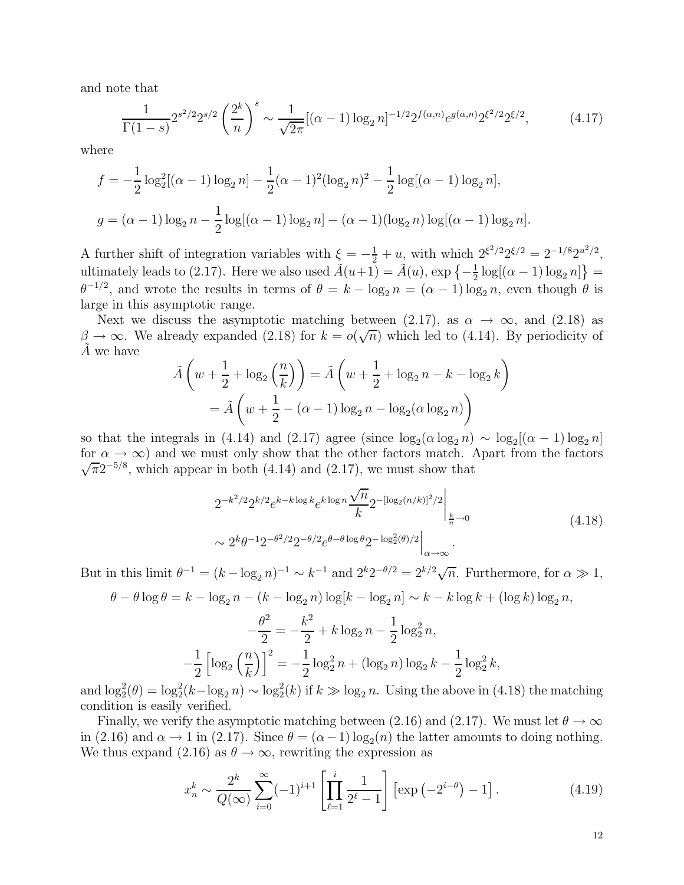and note that

$$
\frac{1}{\Gamma(1-s)} 2^{s^2/2} 2^{s/2} \left(\frac{2^k}{n}\right)^s \sim \frac{1}{\sqrt{2\pi}} [(\alpha-1) \log_2 n]^{-1/2} 2^{f(\alpha,n)} e^{g(\alpha,n)} 2^{\xi^2/2} 2^{\xi/2},\tag{4.17}
$$

where

$$
f = -\frac{1}{2}\log_2^2[(\alpha - 1)\log_2 n] - \frac{1}{2}(\alpha - 1)^2(\log_2 n)^2 - \frac{1}{2}\log[(\alpha - 1)\log_2 n],
$$
  

$$
g = (\alpha - 1)\log_2 n - \frac{1}{2}\log[(\alpha - 1)\log_2 n] - (\alpha - 1)(\log_2 n)\log[(\alpha - 1)\log_2 n].
$$

A further shift of integration variables with  $\xi = -\frac{1}{2} + u$ , with which  $2^{\xi^2/2} 2^{\xi/2} = 2^{-1/8} 2^{u^2/2}$ , ultimately leads to (2.17). Here we also used  $\tilde{A}(u+1) = \tilde{A}(u)$ ,  $\exp\left\{-\frac{1}{2}\right\}$  $\frac{1}{2} \log[(\alpha - 1) \log_2 n]$  =  $\theta^{-1/2}$ , and wrote the results in terms of  $\theta = k - \log_2 n = (\alpha - 1) \log_2 n$ , even though  $\theta$  is large in this asymptotic range.

Next we discuss the asymptotic matching between (2.17), as  $\alpha \to \infty$ , and (2.18) as  $\beta \to \infty$ . We already expanded (2.18) for  $k = o(\sqrt{n})$  which led to (4.14). By periodicity of A we have

$$
\tilde{A}\left(w + \frac{1}{2} + \log_2\left(\frac{n}{k}\right)\right) = \tilde{A}\left(w + \frac{1}{2} + \log_2 n - k - \log_2 k\right)
$$

$$
= \tilde{A}\left(w + \frac{1}{2} - (\alpha - 1)\log_2 n - \log_2(\alpha \log_2 n)\right)
$$

so that the integrals in (4.14) and (2.17) agree (since  $\log_2(\alpha \log_2 n) \sim \log_2[(\alpha - 1) \log_2 n]$ for  $\alpha \to \infty$ ) and we must only show that the other factors match. Apart from the factors  $\sqrt{\pi}2^{-5/8}$ , which appear in both (4.14) and (2.17), we must show that

$$
2^{-k^2/2} 2^{k/2} e^{k-k \log k} e^{k \log n} \frac{\sqrt{n}}{k} 2^{-[\log_2(n/k)]^2/2} \Big|_{\frac{k}{n}\to 0}
$$
\n
$$
\sim 2^k \theta^{-1} 2^{-\theta^2/2} 2^{-\theta/2} e^{\theta - \theta \log \theta} 2^{-\log_2^2(\theta)/2} \Big|_{\alpha\to\infty}.
$$
\n(4.18)

But in this limit  $\theta^{-1} = (k - \log_2 n)^{-1} \sim k^{-1}$  and  $2^k 2^{-\theta/2} = 2^{k/2} \sqrt{n}$ . Furthermore, for  $\alpha \gg 1$ ,

$$
\theta - \theta \log \theta = k - \log_2 n - (k - \log_2 n) \log[k - \log_2 n] \sim k - k \log k + (\log k) \log_2 n,
$$

$$
-\frac{\theta^2}{2} = -\frac{k^2}{2} + k \log_2 n - \frac{1}{2} \log_2^2 n,
$$

$$
-\frac{1}{2} \left[ \log_2 \left( \frac{n}{k} \right) \right]^2 = -\frac{1}{2} \log_2^2 n + (\log_2 n) \log_2 k - \frac{1}{2} \log_2^2 k,
$$

and  $\log_2^2(\theta) = \log_2^2(k - \log_2 n) \sim \log_2^2(k)$  if  $k \gg \log_2 n$ . Using the above in (4.18) the matching condition is easily verified.

Finally, we verify the asymptotic matching between (2.16) and (2.17). We must let  $\theta \to \infty$ in (2.16) and  $\alpha \to 1$  in (2.17). Since  $\theta = (\alpha - 1) \log_2(n)$  the latter amounts to doing nothing. We thus expand (2.16) as  $\theta \to \infty$ , rewriting the expression as

$$
x_n^k \sim \frac{2^k}{Q(\infty)} \sum_{i=0}^{\infty} (-1)^{i+1} \left[ \prod_{\ell=1}^i \frac{1}{2^{\ell}-1} \right] \left[ \exp\left(-2^{i-\theta}\right) - 1 \right]. \tag{4.19}
$$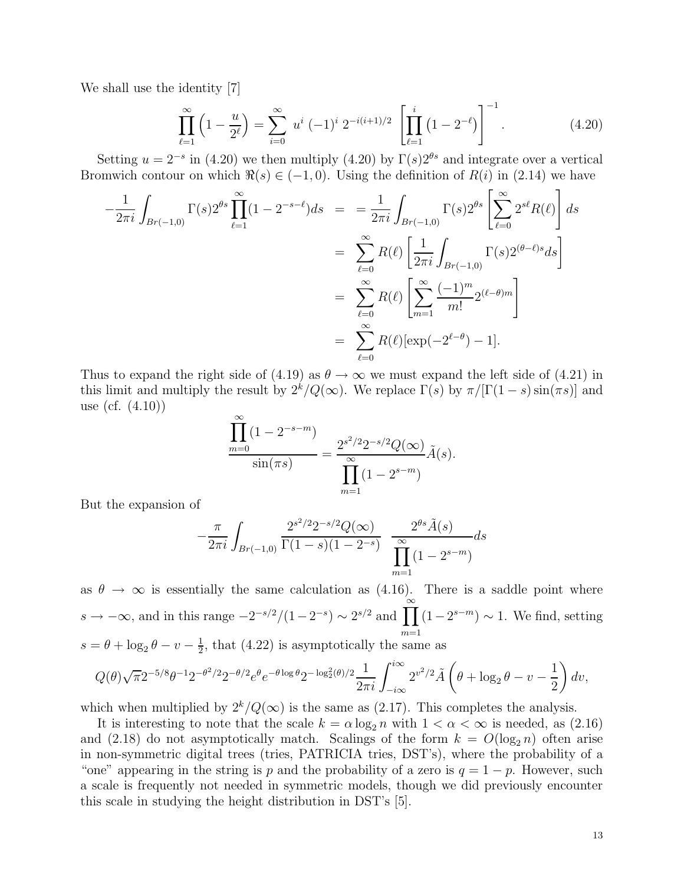We shall use the identity [7]

$$
\prod_{\ell=1}^{\infty} \left(1 - \frac{u}{2^{\ell}}\right) = \sum_{i=0}^{\infty} u^i \left(-1\right)^i 2^{-i(i+1)/2} \left[\prod_{\ell=1}^i \left(1 - 2^{-\ell}\right)\right]^{-1}.
$$
\n(4.20)

Setting  $u = 2^{-s}$  in (4.20) we then multiply (4.20) by  $\Gamma(s)2^{\theta s}$  and integrate over a vertical Bromwich contour on which  $\Re(s) \in (-1,0)$ . Using the definition of  $R(i)$  in (2.14) we have

$$
-\frac{1}{2\pi i} \int_{Br(-1,0)} \Gamma(s) 2^{\theta s} \prod_{\ell=1}^{\infty} (1 - 2^{-s-\ell}) ds = \frac{1}{2\pi i} \int_{Br(-1,0)} \Gamma(s) 2^{\theta s} \left[ \sum_{\ell=0}^{\infty} 2^{s\ell} R(\ell) \right] ds
$$
  

$$
= \sum_{\ell=0}^{\infty} R(\ell) \left[ \frac{1}{2\pi i} \int_{Br(-1,0)} \Gamma(s) 2^{(\theta-\ell)s} ds \right]
$$
  

$$
= \sum_{\ell=0}^{\infty} R(\ell) \left[ \sum_{m=1}^{\infty} \frac{(-1)^m}{m!} 2^{(\ell-\theta)m} \right]
$$
  

$$
= \sum_{\ell=0}^{\infty} R(\ell) [\exp(-2^{\ell-\theta}) - 1].
$$

Thus to expand the right side of (4.19) as  $\theta \to \infty$  we must expand the left side of (4.21) in this limit and multiply the result by  $2^{k}/Q(\infty)$ . We replace  $\Gamma(s)$  by  $\pi/[\Gamma(1-s)\sin(\pi s)]$  and use (cf. (4.10))

$$
\frac{\prod_{m=0}^{\infty} (1 - 2^{-s-m})}{\sin(\pi s)} = \frac{2^{s^2/2} 2^{-s/2} Q(\infty)}{\prod_{m=1}^{\infty} (1 - 2^{s-m})} \tilde{A}(s).
$$

But the expansion of

$$
-\frac{\pi}{2\pi i} \int_{Br(-1,0)} \frac{2^{s^2/2} 2^{-s/2} Q(\infty)}{\Gamma(1-s)(1-2^{-s})} \frac{2^{\theta s} \tilde{A}(s)}{\prod_{m=1}^{\infty} (1-2^{s-m})} ds
$$

as  $\theta \to \infty$  is essentially the same calculation as (4.16). There is a saddle point where  $s \to -\infty$ , and in this range  $-2^{-s/2}/(1-2^{-s}) \sim 2^{s/2}$  and  $\prod^{\infty}$  $m=1$  $(1-2^{s-m}) \sim 1$ . We find, setting  $s = \theta + \log_2 \theta - v - \frac{1}{2}$  $\frac{1}{2}$ , that (4.22) is asymptotically the same as

$$
Q(\theta)\sqrt{\pi}2^{-5/8}\theta^{-1}2^{-\theta^2/2}2^{-\theta/2}e^{\theta}e^{-\theta\log\theta}2^{-\log_2^2(\theta)/2}\frac{1}{2\pi i}\int_{-i\infty}^{i\infty}2^{v^2/2}\tilde{A}\left(\theta+\log_2\theta-v-\frac{1}{2}\right)dv,
$$

which when multiplied by  $2^k/Q(\infty)$  is the same as (2.17). This completes the analysis.

It is interesting to note that the scale  $k = \alpha \log_2 n$  with  $1 < \alpha < \infty$  is needed, as (2.16) and (2.18) do not asymptotically match. Scalings of the form  $k = O(\log_2 n)$  often arise in non-symmetric digital trees (tries, PATRICIA tries, DST's), where the probability of a "one" appearing in the string is p and the probability of a zero is  $q = 1 - p$ . However, such a scale is frequently not needed in symmetric models, though we did previously encounter this scale in studying the height distribution in DST's [5].